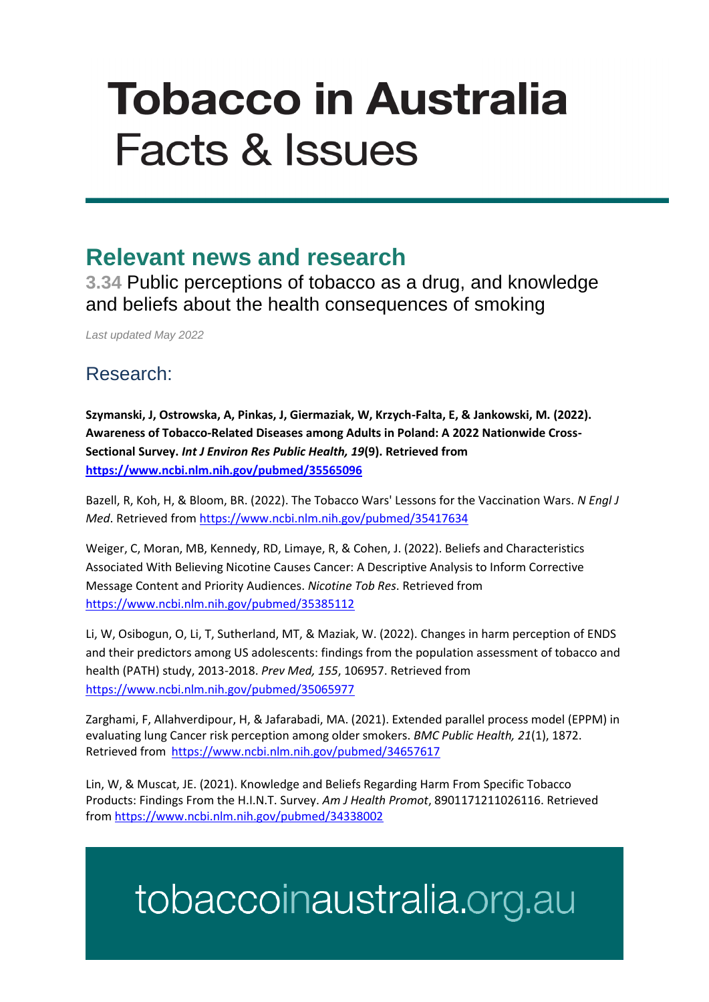# **Tobacco in Australia Facts & Issues**

### **Relevant news and research**

**3.34** Public perceptions of tobacco as a drug, and knowledge and beliefs about the health consequences of smoking

*Last updated May 2022*

#### Research:

**Szymanski, J, Ostrowska, A, Pinkas, J, Giermaziak, W, Krzych-Falta, E, & Jankowski, M. (2022). Awareness of Tobacco-Related Diseases among Adults in Poland: A 2022 Nationwide Cross-Sectional Survey.** *Int J Environ Res Public Health, 19***(9). Retrieved from <https://www.ncbi.nlm.nih.gov/pubmed/35565096>**

Bazell, R, Koh, H, & Bloom, BR. (2022). The Tobacco Wars' Lessons for the Vaccination Wars. *N Engl J Med*. Retrieved fro[m https://www.ncbi.nlm.nih.gov/pubmed/35417634](https://www.ncbi.nlm.nih.gov/pubmed/35417634)

Weiger, C, Moran, MB, Kennedy, RD, Limaye, R, & Cohen, J. (2022). Beliefs and Characteristics Associated With Believing Nicotine Causes Cancer: A Descriptive Analysis to Inform Corrective Message Content and Priority Audiences. *Nicotine Tob Res*. Retrieved from <https://www.ncbi.nlm.nih.gov/pubmed/35385112>

Li, W, Osibogun, O, Li, T, Sutherland, MT, & Maziak, W. (2022). Changes in harm perception of ENDS and their predictors among US adolescents: findings from the population assessment of tobacco and health (PATH) study, 2013-2018. *Prev Med, 155*, 106957. Retrieved from <https://www.ncbi.nlm.nih.gov/pubmed/35065977>

Zarghami, F, Allahverdipour, H, & Jafarabadi, MA. (2021). Extended parallel process model (EPPM) in evaluating lung Cancer risk perception among older smokers. *BMC Public Health, 21*(1), 1872. Retrieved from<https://www.ncbi.nlm.nih.gov/pubmed/34657617>

Lin, W, & Muscat, JE. (2021). Knowledge and Beliefs Regarding Harm From Specific Tobacco Products: Findings From the H.I.N.T. Survey. *Am J Health Promot*, 8901171211026116. Retrieved from<https://www.ncbi.nlm.nih.gov/pubmed/34338002>

## tobaccoinaustralia.org.au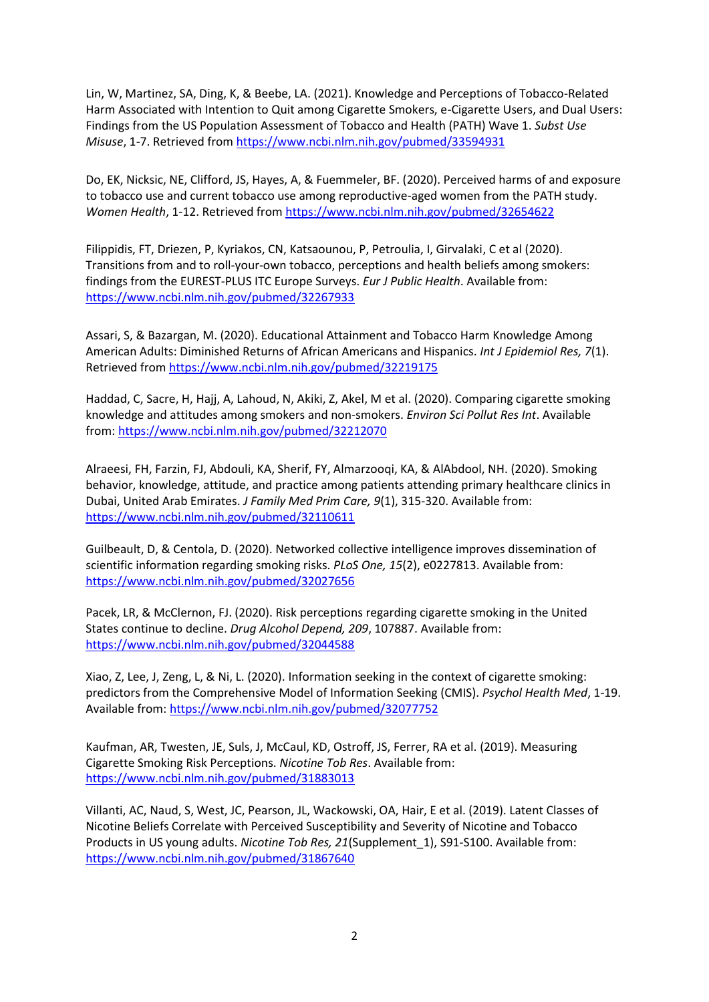Lin, W, Martinez, SA, Ding, K, & Beebe, LA. (2021). Knowledge and Perceptions of Tobacco-Related Harm Associated with Intention to Quit among Cigarette Smokers, e-Cigarette Users, and Dual Users: Findings from the US Population Assessment of Tobacco and Health (PATH) Wave 1. *Subst Use Misuse*, 1-7. Retrieved from<https://www.ncbi.nlm.nih.gov/pubmed/33594931>

Do, EK, Nicksic, NE, Clifford, JS, Hayes, A, & Fuemmeler, BF. (2020). Perceived harms of and exposure to tobacco use and current tobacco use among reproductive-aged women from the PATH study. *Women Health*, 1-12. Retrieved fro[m https://www.ncbi.nlm.nih.gov/pubmed/32654622](https://www.ncbi.nlm.nih.gov/pubmed/32654622)

Filippidis, FT, Driezen, P, Kyriakos, CN, Katsaounou, P, Petroulia, I, Girvalaki, C et al (2020). Transitions from and to roll-your-own tobacco, perceptions and health beliefs among smokers: findings from the EUREST-PLUS ITC Europe Surveys. *Eur J Public Health*. Available from: <https://www.ncbi.nlm.nih.gov/pubmed/32267933>

Assari, S, & Bazargan, M. (2020). Educational Attainment and Tobacco Harm Knowledge Among American Adults: Diminished Returns of African Americans and Hispanics. *Int J Epidemiol Res, 7*(1). Retrieved from<https://www.ncbi.nlm.nih.gov/pubmed/32219175>

Haddad, C, Sacre, H, Hajj, A, Lahoud, N, Akiki, Z, Akel, M et al. (2020). Comparing cigarette smoking knowledge and attitudes among smokers and non-smokers. *Environ Sci Pollut Res Int*. Available from:<https://www.ncbi.nlm.nih.gov/pubmed/32212070>

Alraeesi, FH, Farzin, FJ, Abdouli, KA, Sherif, FY, Almarzooqi, KA, & AlAbdool, NH. (2020). Smoking behavior, knowledge, attitude, and practice among patients attending primary healthcare clinics in Dubai, United Arab Emirates. *J Family Med Prim Care, 9*(1), 315-320. Available from: <https://www.ncbi.nlm.nih.gov/pubmed/32110611>

Guilbeault, D, & Centola, D. (2020). Networked collective intelligence improves dissemination of scientific information regarding smoking risks. *PLoS One, 15*(2), e0227813. Available from: <https://www.ncbi.nlm.nih.gov/pubmed/32027656>

Pacek, LR, & McClernon, FJ. (2020). Risk perceptions regarding cigarette smoking in the United States continue to decline. *Drug Alcohol Depend, 209*, 107887. Available from: <https://www.ncbi.nlm.nih.gov/pubmed/32044588>

Xiao, Z, Lee, J, Zeng, L, & Ni, L. (2020). Information seeking in the context of cigarette smoking: predictors from the Comprehensive Model of Information Seeking (CMIS). *Psychol Health Med*, 1-19. Available from[: https://www.ncbi.nlm.nih.gov/pubmed/32077752](https://www.ncbi.nlm.nih.gov/pubmed/32077752)

Kaufman, AR, Twesten, JE, Suls, J, McCaul, KD, Ostroff, JS, Ferrer, RA et al. (2019). Measuring Cigarette Smoking Risk Perceptions. *Nicotine Tob Res*. Available from: <https://www.ncbi.nlm.nih.gov/pubmed/31883013>

Villanti, AC, Naud, S, West, JC, Pearson, JL, Wackowski, OA, Hair, E et al. (2019). Latent Classes of Nicotine Beliefs Correlate with Perceived Susceptibility and Severity of Nicotine and Tobacco Products in US young adults. *Nicotine Tob Res, 21*(Supplement\_1), S91-S100. Available from: <https://www.ncbi.nlm.nih.gov/pubmed/31867640>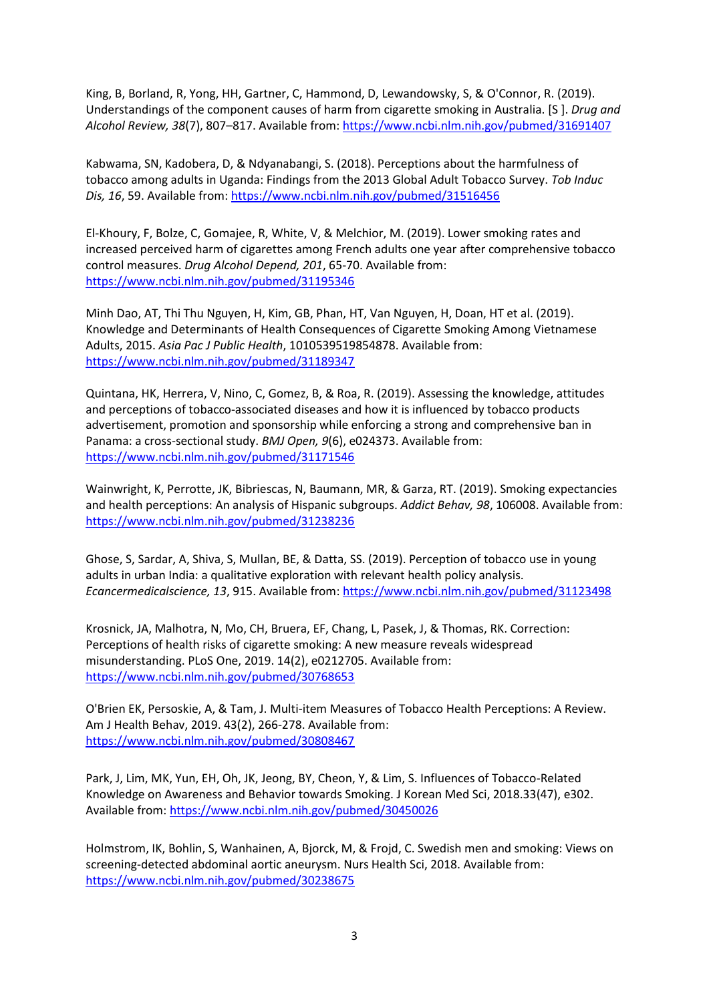King, B, Borland, R, Yong, HH, Gartner, C, Hammond, D, Lewandowsky, S, & O'Connor, R. (2019). Understandings of the component causes of harm from cigarette smoking in Australia. [S ]. *Drug and Alcohol Review, 38*(7), 807–817. Available from[: https://www.ncbi.nlm.nih.gov/pubmed/31691407](https://www.ncbi.nlm.nih.gov/pubmed/31691407)

Kabwama, SN, Kadobera, D, & Ndyanabangi, S. (2018). Perceptions about the harmfulness of tobacco among adults in Uganda: Findings from the 2013 Global Adult Tobacco Survey. *Tob Induc Dis, 16*, 59. Available from:<https://www.ncbi.nlm.nih.gov/pubmed/31516456>

El-Khoury, F, Bolze, C, Gomajee, R, White, V, & Melchior, M. (2019). Lower smoking rates and increased perceived harm of cigarettes among French adults one year after comprehensive tobacco control measures. *Drug Alcohol Depend, 201*, 65-70. Available from: <https://www.ncbi.nlm.nih.gov/pubmed/31195346>

Minh Dao, AT, Thi Thu Nguyen, H, Kim, GB, Phan, HT, Van Nguyen, H, Doan, HT et al. (2019). Knowledge and Determinants of Health Consequences of Cigarette Smoking Among Vietnamese Adults, 2015. *Asia Pac J Public Health*, 1010539519854878. Available from: <https://www.ncbi.nlm.nih.gov/pubmed/31189347>

Quintana, HK, Herrera, V, Nino, C, Gomez, B, & Roa, R. (2019). Assessing the knowledge, attitudes and perceptions of tobacco-associated diseases and how it is influenced by tobacco products advertisement, promotion and sponsorship while enforcing a strong and comprehensive ban in Panama: a cross-sectional study. *BMJ Open, 9*(6), e024373. Available from: <https://www.ncbi.nlm.nih.gov/pubmed/31171546>

Wainwright, K, Perrotte, JK, Bibriescas, N, Baumann, MR, & Garza, RT. (2019). Smoking expectancies and health perceptions: An analysis of Hispanic subgroups. *Addict Behav, 98*, 106008. Available from: <https://www.ncbi.nlm.nih.gov/pubmed/31238236>

Ghose, S, Sardar, A, Shiva, S, Mullan, BE, & Datta, SS. (2019). Perception of tobacco use in young adults in urban India: a qualitative exploration with relevant health policy analysis. *Ecancermedicalscience, 13*, 915. Available from:<https://www.ncbi.nlm.nih.gov/pubmed/31123498>

Krosnick, JA, Malhotra, N, Mo, CH, Bruera, EF, Chang, L, Pasek, J, & Thomas, RK. Correction: Perceptions of health risks of cigarette smoking: A new measure reveals widespread misunderstanding. PLoS One, 2019. 14(2), e0212705. Available from: <https://www.ncbi.nlm.nih.gov/pubmed/30768653>

O'Brien EK, Persoskie, A, & Tam, J. Multi-item Measures of Tobacco Health Perceptions: A Review. Am J Health Behav, 2019. 43(2), 266-278. Available from: <https://www.ncbi.nlm.nih.gov/pubmed/30808467>

Park, J, Lim, MK, Yun, EH, Oh, JK, Jeong, BY, Cheon, Y, & Lim, S. Influences of Tobacco-Related Knowledge on Awareness and Behavior towards Smoking. J Korean Med Sci, 2018.33(47), e302. Available from[: https://www.ncbi.nlm.nih.gov/pubmed/30450026](https://www.ncbi.nlm.nih.gov/pubmed/30450026)

Holmstrom, IK, Bohlin, S, Wanhainen, A, Bjorck, M, & Frojd, C. Swedish men and smoking: Views on screening-detected abdominal aortic aneurysm. Nurs Health Sci, 2018. Available from: <https://www.ncbi.nlm.nih.gov/pubmed/30238675>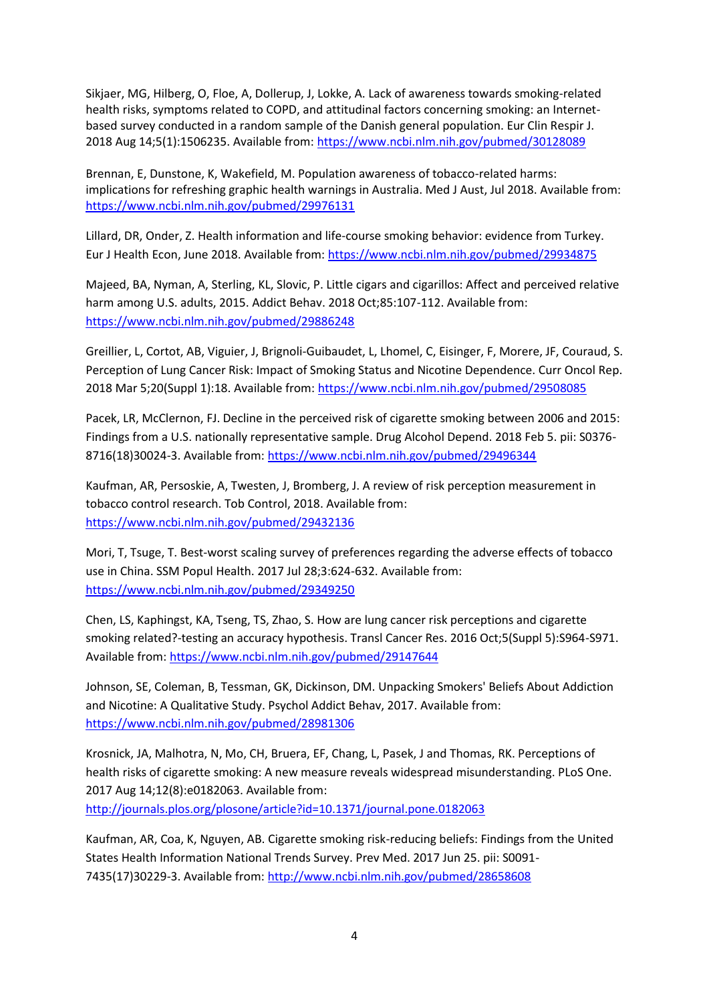Sikjaer, MG, Hilberg, O, Floe, A, Dollerup, J, Lokke, A. Lack of awareness towards smoking-related health risks, symptoms related to COPD, and attitudinal factors concerning smoking: an Internetbased survey conducted in a random sample of the Danish general population. Eur Clin Respir J. 2018 Aug 14;5(1):1506235. Available from:<https://www.ncbi.nlm.nih.gov/pubmed/30128089>

Brennan, E, Dunstone, K, Wakefield, M. Population awareness of tobacco-related harms: implications for refreshing graphic health warnings in Australia. Med J Aust, Jul 2018. Available from: <https://www.ncbi.nlm.nih.gov/pubmed/29976131>

Lillard, DR, Onder, Z. Health information and life-course smoking behavior: evidence from Turkey. Eur J Health Econ, June 2018. Available from:<https://www.ncbi.nlm.nih.gov/pubmed/29934875>

Majeed, BA, Nyman, A, Sterling, KL, Slovic, P. Little cigars and cigarillos: Affect and perceived relative harm among U.S. adults, 2015. Addict Behav. 2018 Oct;85:107-112. Available from: <https://www.ncbi.nlm.nih.gov/pubmed/29886248>

Greillier, L, Cortot, AB, Viguier, J, Brignoli-Guibaudet, L, Lhomel, C, Eisinger, F, Morere, JF, Couraud, S. Perception of Lung Cancer Risk: Impact of Smoking Status and Nicotine Dependence. Curr Oncol Rep. 2018 Mar 5;20(Suppl 1):18. Available from:<https://www.ncbi.nlm.nih.gov/pubmed/29508085>

Pacek, LR, McClernon, FJ. Decline in the perceived risk of cigarette smoking between 2006 and 2015: Findings from a U.S. nationally representative sample. Drug Alcohol Depend. 2018 Feb 5. pii: S0376- 8716(18)30024-3. Available from[: https://www.ncbi.nlm.nih.gov/pubmed/29496344](https://www.ncbi.nlm.nih.gov/pubmed/29496344)

Kaufman, AR, Persoskie, A, Twesten, J, Bromberg, J. A review of risk perception measurement in tobacco control research. Tob Control, 2018. Available from: <https://www.ncbi.nlm.nih.gov/pubmed/29432136>

Mori, T, Tsuge, T. Best-worst scaling survey of preferences regarding the adverse effects of tobacco use in China. SSM Popul Health. 2017 Jul 28;3:624-632. Available from: <https://www.ncbi.nlm.nih.gov/pubmed/29349250>

Chen, LS, Kaphingst, KA, Tseng, TS, Zhao, S. How are lung cancer risk perceptions and cigarette smoking related?-testing an accuracy hypothesis. Transl Cancer Res. 2016 Oct;5(Suppl 5):S964-S971. Available from[: https://www.ncbi.nlm.nih.gov/pubmed/29147644](https://www.ncbi.nlm.nih.gov/pubmed/29147644)

Johnson, SE, Coleman, B, Tessman, GK, Dickinson, DM. Unpacking Smokers' Beliefs About Addiction and Nicotine: A Qualitative Study. Psychol Addict Behav, 2017. Available from: <https://www.ncbi.nlm.nih.gov/pubmed/28981306>

Krosnick, JA, Malhotra, N, Mo, CH, Bruera, EF, Chang, L, Pasek, J and Thomas, RK. Perceptions of health risks of cigarette smoking: A new measure reveals widespread misunderstanding. PLoS One. 2017 Aug 14;12(8):e0182063. Available from: <http://journals.plos.org/plosone/article?id=10.1371/journal.pone.0182063>

Kaufman, AR, Coa, K, Nguyen, AB. Cigarette smoking risk-reducing beliefs: Findings from the United States Health Information National Trends Survey. Prev Med. 2017 Jun 25. pii: S0091- 7435(17)30229-3. Available from[: http://www.ncbi.nlm.nih.gov/pubmed/28658608](http://www.ncbi.nlm.nih.gov/pubmed/28658608)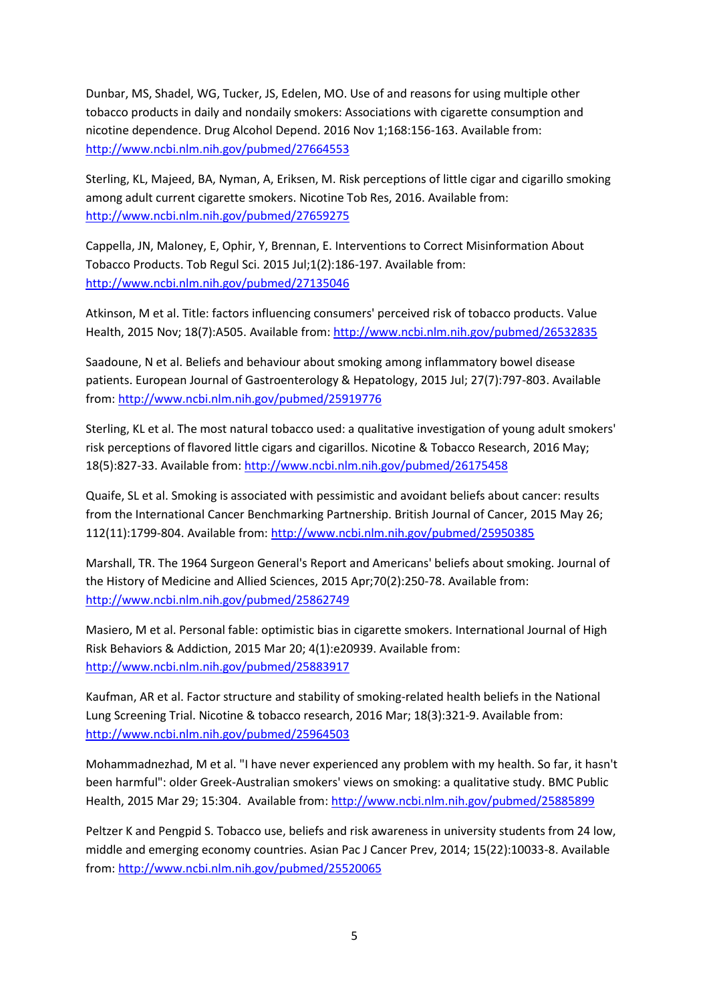Dunbar, MS, Shadel, WG, Tucker, JS, Edelen, MO. Use of and reasons for using multiple other tobacco products in daily and nondaily smokers: Associations with cigarette consumption and nicotine dependence. Drug Alcohol Depend. 2016 Nov 1;168:156-163. Available from: <http://www.ncbi.nlm.nih.gov/pubmed/27664553>

Sterling, KL, Majeed, BA, Nyman, A, Eriksen, M. Risk perceptions of little cigar and cigarillo smoking among adult current cigarette smokers. Nicotine Tob Res, 2016. Available from: <http://www.ncbi.nlm.nih.gov/pubmed/27659275>

Cappella, JN, Maloney, E, Ophir, Y, Brennan, E. Interventions to Correct Misinformation About Tobacco Products. Tob Regul Sci. 2015 Jul;1(2):186-197. Available from: <http://www.ncbi.nlm.nih.gov/pubmed/27135046>

Atkinson, M et al. Title: factors influencing consumers' perceived risk of tobacco products. Value Health, 2015 Nov; 18(7):A505. Available from:<http://www.ncbi.nlm.nih.gov/pubmed/26532835>

Saadoune, N et al. Beliefs and behaviour about smoking among inflammatory bowel disease patients. European Journal of Gastroenterology & Hepatology, 2015 Jul; 27(7):797-803. Available from:<http://www.ncbi.nlm.nih.gov/pubmed/25919776>

Sterling, KL et al. The most natural tobacco used: a qualitative investigation of young adult smokers' risk perceptions of flavored little cigars and cigarillos. Nicotine & Tobacco Research, 2016 May; 18(5):827-33. Available from:<http://www.ncbi.nlm.nih.gov/pubmed/26175458>

Quaife, SL et al. Smoking is associated with pessimistic and avoidant beliefs about cancer: results from the International Cancer Benchmarking Partnership. British Journal of Cancer, 2015 May 26; 112(11):1799-804. Available from[: http://www.ncbi.nlm.nih.gov/pubmed/25950385](http://www.ncbi.nlm.nih.gov/pubmed/25950385)

Marshall, TR. The 1964 Surgeon General's Report and Americans' beliefs about smoking. Journal of the History of Medicine and Allied Sciences, 2015 Apr;70(2):250-78. Available from: <http://www.ncbi.nlm.nih.gov/pubmed/25862749>

Masiero, M et al. Personal fable: optimistic bias in cigarette smokers. International Journal of High Risk Behaviors & Addiction, 2015 Mar 20; 4(1):e20939. Available from: <http://www.ncbi.nlm.nih.gov/pubmed/25883917>

Kaufman, AR et al. Factor structure and stability of smoking-related health beliefs in the National Lung Screening Trial. Nicotine & tobacco research, 2016 Mar; 18(3):321-9. Available from: <http://www.ncbi.nlm.nih.gov/pubmed/25964503>

Mohammadnezhad, M et al. "I have never experienced any problem with my health. So far, it hasn't been harmful": older Greek-Australian smokers' views on smoking: a qualitative study. BMC Public Health, 2015 Mar 29; 15:304. Available from:<http://www.ncbi.nlm.nih.gov/pubmed/25885899>

Peltzer K and Pengpid S. Tobacco use, beliefs and risk awareness in university students from 24 low, middle and emerging economy countries. Asian Pac J Cancer Prev, 2014; 15(22):10033-8. Available from:<http://www.ncbi.nlm.nih.gov/pubmed/25520065>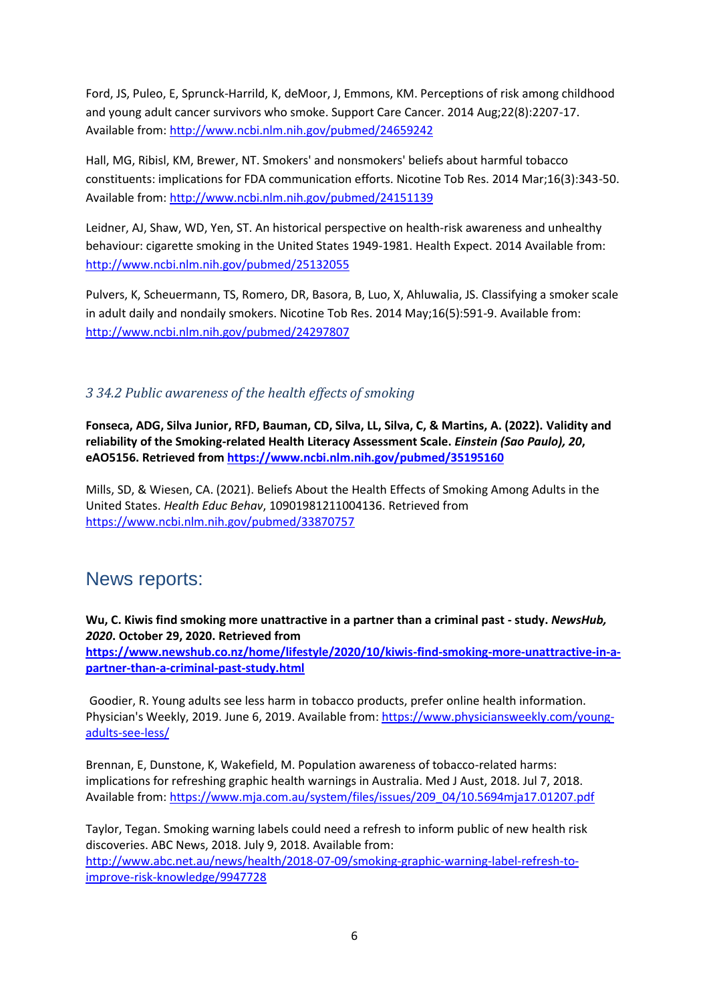Ford, JS, Puleo, E, Sprunck-Harrild, K, deMoor, J, Emmons, KM. Perceptions of risk among childhood and young adult cancer survivors who smoke. Support Care Cancer. 2014 Aug;22(8):2207-17. Available from[: http://www.ncbi.nlm.nih.gov/pubmed/24659242](http://www.ncbi.nlm.nih.gov/pubmed/24659242)

Hall, MG, Ribisl, KM, Brewer, NT. Smokers' and nonsmokers' beliefs about harmful tobacco constituents: implications for FDA communication efforts. Nicotine Tob Res. 2014 Mar;16(3):343-50. Available from[: http://www.ncbi.nlm.nih.gov/pubmed/24151139](http://www.ncbi.nlm.nih.gov/pubmed/24151139)

Leidner, AJ, Shaw, WD, Yen, ST. An historical perspective on health-risk awareness and unhealthy behaviour: cigarette smoking in the United States 1949-1981. Health Expect. 2014 Available from: <http://www.ncbi.nlm.nih.gov/pubmed/25132055>

Pulvers, K, Scheuermann, TS, Romero, DR, Basora, B, Luo, X, Ahluwalia, JS. Classifying a smoker scale in adult daily and nondaily smokers. Nicotine Tob Res. 2014 May;16(5):591-9. Available from: <http://www.ncbi.nlm.nih.gov/pubmed/24297807>

*3 34.2 Public awareness of the health effects of smoking*

**Fonseca, ADG, Silva Junior, RFD, Bauman, CD, Silva, LL, Silva, C, & Martins, A. (2022). Validity and reliability of the Smoking-related Health Literacy Assessment Scale.** *Einstein (Sao Paulo), 20***, eAO5156. Retrieved from<https://www.ncbi.nlm.nih.gov/pubmed/35195160>**

Mills, SD, & Wiesen, CA. (2021). Beliefs About the Health Effects of Smoking Among Adults in the United States. *Health Educ Behav*, 10901981211004136. Retrieved from <https://www.ncbi.nlm.nih.gov/pubmed/33870757>

#### News reports:

**Wu, C. Kiwis find smoking more unattractive in a partner than a criminal past - study.** *NewsHub, 2020***. October 29, 2020. Retrieved from** 

**[https://www.newshub.co.nz/home/lifestyle/2020/10/kiwis-find-smoking-more-unattractive-in-a](https://www.newshub.co.nz/home/lifestyle/2020/10/kiwis-find-smoking-more-unattractive-in-a-partner-than-a-criminal-past-study.html)[partner-than-a-criminal-past-study.html](https://www.newshub.co.nz/home/lifestyle/2020/10/kiwis-find-smoking-more-unattractive-in-a-partner-than-a-criminal-past-study.html)**

Goodier, R. Young adults see less harm in tobacco products, prefer online health information. Physician's Weekly, 2019. June 6, 2019. Available from: [https://www.physiciansweekly.com/young](https://www.physiciansweekly.com/young-adults-see-less/)[adults-see-less/](https://www.physiciansweekly.com/young-adults-see-less/)

Brennan, E, Dunstone, K, Wakefield, M. Population awareness of tobacco-related harms: implications for refreshing graphic health warnings in Australia. Med J Aust, 2018. Jul 7, 2018. Available from[: https://www.mja.com.au/system/files/issues/209\\_04/10.5694mja17.01207.pdf](https://www.mja.com.au/system/files/issues/209_04/10.5694mja17.01207.pdf)

Taylor, Tegan. Smoking warning labels could need a refresh to inform public of new health risk discoveries. ABC News, 2018. July 9, 2018. Available from: [http://www.abc.net.au/news/health/2018-07-09/smoking-graphic-warning-label-refresh-to](http://www.abc.net.au/news/health/2018-07-09/smoking-graphic-warning-label-refresh-to-improve-risk-knowledge/9947728)[improve-risk-knowledge/9947728](http://www.abc.net.au/news/health/2018-07-09/smoking-graphic-warning-label-refresh-to-improve-risk-knowledge/9947728)